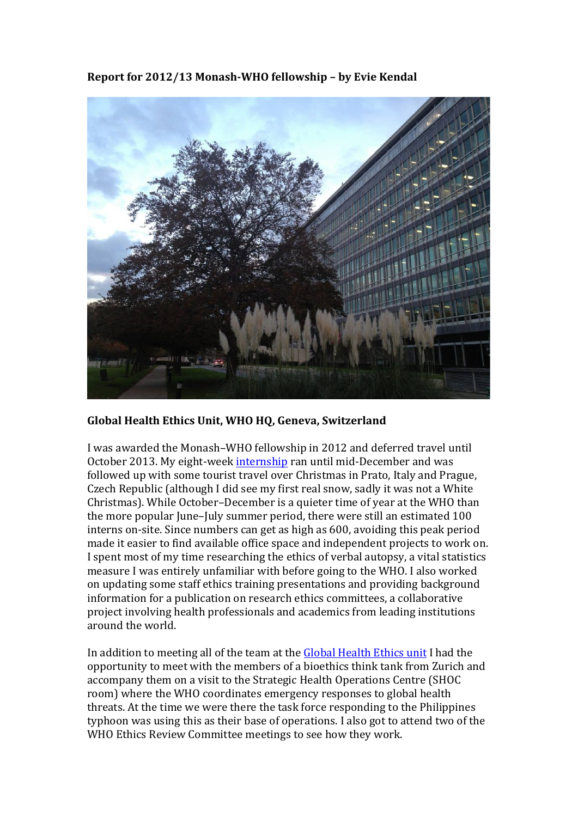Report for 2012/13 Monash-WHO fellowship – by Evie Kendal



## Global Health Ethics Unit, WHO HQ, Geneva, Switzerland

I was awarded the Monash–WHO fellowship in 2012 and deferred travel until October 2013. My eight-week internship ran until mid-December and was followed up with some tourist travel over Christmas in Prato, Italy and Prague, Czech Republic (although I did see my first real snow, sadly it was not a White" Christmas). While October–December is a quieter time of year at the WHO than the more popular June–July summer period, there were still an estimated 100 interns on-site. Since numbers can get as high as 600, avoiding this peak period made it easier to find available office space and independent projects to work on. I spent most of my time researching the ethics of verbal autopsy, a vital statistics measure I was entirely unfamiliar with before going to the WHO. I also worked on updating some staff ethics training presentations and providing background information for a publication on research ethics committees, a collaborative project involving health professionals and academics from leading institutions around the world.

In addition to meeting all of the team at the Global Health Ethics unit I had the opportunity to meet with the members of a bioethics think tank from Zurich and accompany them on a visit to the Strategic Health Operations Centre (SHOC) room) where the WHO coordinates emergency responses to global health threats. At the time we were there the task force responding to the Philippines typhoon was using this as their base of operations. I also got to attend two of the WHO Ethics Review Committee meetings to see how they work.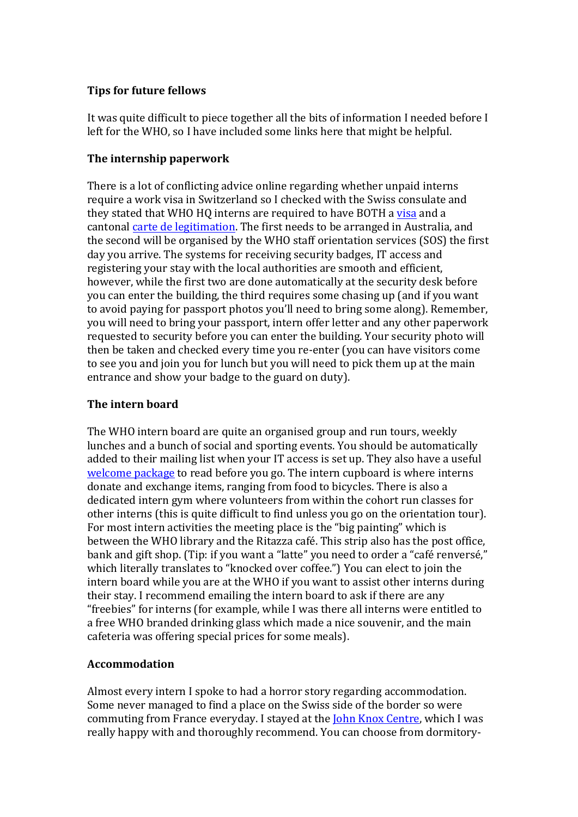## **Tips'for'future'fellows**

It was quite difficult to piece together all the bits of information I needed before I left for the WHO, so I have included some links here that might be helpful.

# **The'internship'paperwork**

There is a lot of conflicting advice online regarding whether unpaid interns" require a work visa in Switzerland so I checked with the Swiss consulate and they stated that WHO HQ interns are required to have BOTH a visa and a cantonal carte de legitimation. The first needs to be arranged in Australia, and the second will be organised by the WHO staff orientation services (SOS) the first day you arrive. The systems for receiving security badges, IT access and registering your stay with the local authorities are smooth and efficient, however, while the first two are done automatically at the security desk before you can enter the building, the third requires some chasing up (and if you want to avoid paying for passport photos you'll need to bring some along). Remember, you will need to bring your passport, intern offer letter and any other paperwork requested to security before you can enter the building. Your security photo will then be taken and checked every time you re-enter (you can have visitors come to see you and join you for lunch but you will need to pick them up at the main entrance and show your badge to the guard on duty).

# **The'intern'board**

The WHO intern board are quite an organised group and run tours, weekly lunches and a bunch of social and sporting events. You should be automatically added to their mailing list when your IT access is set up. They also have a useful welcome package to read before you go. The intern cupboard is where interns donate and exchange items, ranging from food to bicycles. There is also a dedicated intern gym where volunteers from within the cohort run classes for other interns (this is quite difficult to find unless you go on the orientation tour). For most intern activities the meeting place is the "big painting" which is between the WHO library and the Ritazza café. This strip also has the post office, bank and gift shop. (Tip: if you want a "latte" you need to order a "café renversé," which literally translates to "knocked over coffee.") You can elect to join the intern board while you are at the WHO if you want to assist other interns during their stay. I recommend emailing the intern board to ask if there are any "freebies" for interns (for example, while I was there all interns were entitled to a free WHO branded drinking glass which made a nice souvenir, and the main cafeteria was offering special prices for some meals).

# **Accommodation**

Almost every intern I spoke to had a horror story regarding accommodation. Some never managed to find a place on the Swiss side of the border so were commuting from France everyday. I stayed at the John Knox Centre, which I was really happy with and thoroughly recommend. You can choose from dormitory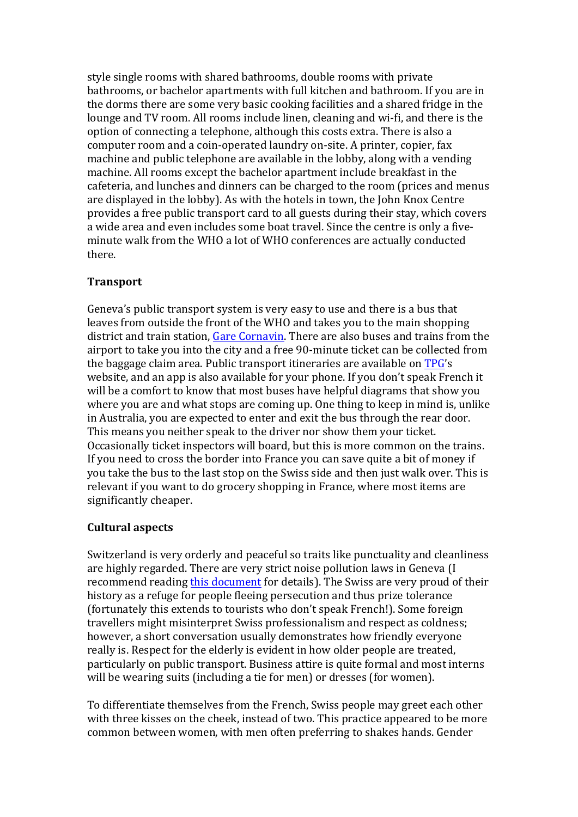style single rooms with shared bathrooms, double rooms with private bathrooms, or bachelor apartments with full kitchen and bathroom. If you are in the dorms there are some very basic cooking facilities and a shared fridge in the lounge and TV room. All rooms include linen, cleaning and wi-fi, and there is the option of connecting a telephone, although this costs extra. There is also a computer room and a coin-operated laundry on-site. A printer, copier, fax machine and public telephone are available in the lobby, along with a vending machine. All rooms except the bachelor apartment include breakfast in the cafeteria, and lunches and dinners can be charged to the room (prices and menus") are displayed in the lobby). As with the hotels in town, the John Knox Centre provides a free public transport card to all guests during their stay, which covers a wide area and even includes some boat travel. Since the centre is only a fiveminute walk from the WHO a lot of WHO conferences are actually conducted there."

#### **Transport**

Geneva's public transport system is very easy to use and there is a bus that leaves from outside the front of the WHO and takes you to the main shopping district and train station, Gare Cornavin. There are also buses and trains from the airport to take you into the city and a free 90-minute ticket can be collected from the baggage claim area. Public transport itineraries are available on TPG's website, and an app is also available for your phone. If you don't speak French it will be a comfort to know that most buses have helpful diagrams that show you where you are and what stops are coming up. One thing to keep in mind is, unlike in Australia, you are expected to enter and exit the bus through the rear door. This means you neither speak to the driver nor show them your ticket. Occasionally ticket inspectors will board, but this is more common on the trains. If you need to cross the border into France you can save quite a bit of money if you take the bus to the last stop on the Swiss side and then just walk over. This is relevant if you want to do grocery shopping in France, where most items are significantly cheaper.

#### **Cultural'aspects**

Switzerland is very orderly and peaceful so traits like punctuality and cleanliness are highly regarded. There are very strict noise pollution laws in Geneva (I) recommend reading this document for details). The Swiss are very proud of their history as a refuge for people fleeing persecution and thus prize tolerance (fortunately this extends to tourists who don't speak French!). Some foreign travellers might misinterpret Swiss professionalism and respect as coldness; however, a short conversation usually demonstrates how friendly everyone really is. Respect for the elderly is evident in how older people are treated, particularly on public transport. Business attire is quite formal and most interns will be wearing suits (including a tie for men) or dresses (for women).

To differentiate themselves from the French, Swiss people may greet each other with three kisses on the cheek, instead of two. This practice appeared to be more common between women, with men often preferring to shakes hands. Gender